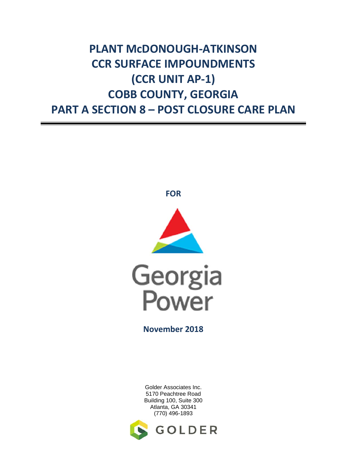# **PLANT McDONOUGH‐ATKINSON CCR SURFACE IMPOUNDMENTS (CCR UNIT AP‐1) COBB COUNTY, GEORGIA PART A SECTION 8 – POST CLOSURE CARE PLAN**







**November 2018**

Golder Associates Inc. 5170 Peachtree Road Building 100, Suite 300 Atlanta, GA 30341 (770) 496-1893

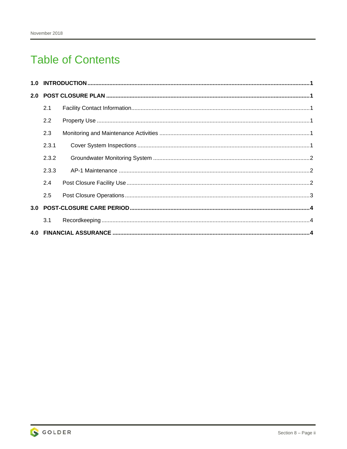## **Table of Contents**

| 2.1   |  |  |
|-------|--|--|
| 2.2   |  |  |
| 2.3   |  |  |
| 2.3.1 |  |  |
| 2.3.2 |  |  |
| 2.3.3 |  |  |
| 2.4   |  |  |
| 2.5   |  |  |
|       |  |  |
| 3.1   |  |  |
|       |  |  |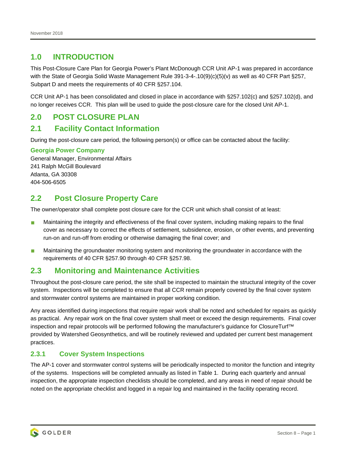## **1.0 INTRODUCTION**

This Post-Closure Care Plan for Georgia Power's Plant McDonough CCR Unit AP-1 was prepared in accordance with the State of Georgia Solid Waste Management Rule 391-3-4-.10(9)(c)(5)(v) as well as 40 CFR Part §257, Subpart D and meets the requirements of 40 CFR §257.104.

CCR Unit AP-1 has been consolidated and closed in place in accordance with §257.102(c) and §257.102(d), and no longer receives CCR. This plan will be used to guide the post-closure care for the closed Unit AP-1.

## **2.0 POST CLOSURE PLAN**

### **2.1 Facility Contact Information**

During the post-closure care period, the following person(s) or office can be contacted about the facility:

#### **Georgia Power Company**

General Manager, Environmental Affairs 241 Ralph McGill Boulevard Atlanta, GA 30308 404-506-6505

## **2.2 Post Closure Property Care**

The owner/operator shall complete post closure care for the CCR unit which shall consist of at least:

- **Maintaining the integrity and effectiveness of the final cover system, including making repairs to the final** cover as necessary to correct the effects of settlement, subsidence, erosion, or other events, and preventing run-on and run-off from eroding or otherwise damaging the final cover; and
- **Maintaining the groundwater monitoring system and monitoring the groundwater in accordance with the** requirements of 40 CFR §257.90 through 40 CFR §257.98.

## **2.3 Monitoring and Maintenance Activities**

Throughout the post-closure care period, the site shall be inspected to maintain the structural integrity of the cover system. Inspections will be completed to ensure that all CCR remain properly covered by the final cover system and stormwater control systems are maintained in proper working condition.

Any areas identified during inspections that require repair work shall be noted and scheduled for repairs as quickly as practical. Any repair work on the final cover system shall meet or exceed the design requirements. Final cover inspection and repair protocols will be performed following the manufacturer's guidance for ClosureTurf™ provided by Watershed Geosynthetics, and will be routinely reviewed and updated per current best management practices.

#### **2.3.1 Cover System Inspections**

The AP-1 cover and stormwater control systems will be periodically inspected to monitor the function and integrity of the systems. Inspections will be completed annually as listed in Table 1. During each quarterly and annual inspection, the appropriate inspection checklists should be completed, and any areas in need of repair should be noted on the appropriate checklist and logged in a repair log and maintained in the facility operating record.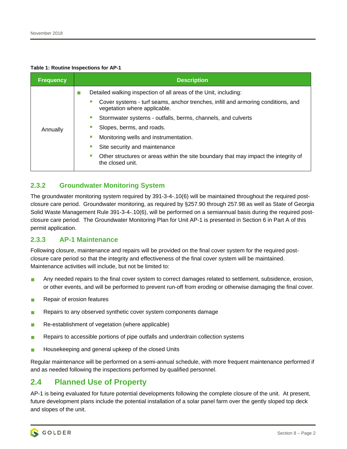#### **Table 1: Routine Inspections for AP-1**

| <b>Frequency</b> | <b>Description</b>                                                                                               |
|------------------|------------------------------------------------------------------------------------------------------------------|
|                  | Detailed walking inspection of all areas of the Unit, including:                                                 |
|                  | Cover systems - turf seams, anchor trenches, infill and armoring conditions, and<br>vegetation where applicable. |
|                  | Stormwater systems - outfalls, berms, channels, and culverts                                                     |
| Annually         | Slopes, berms, and roads.                                                                                        |
|                  | Monitoring wells and instrumentation.                                                                            |
|                  | Site security and maintenance                                                                                    |
|                  | Other structures or areas within the site boundary that may impact the integrity of<br>the closed unit.          |

### **2.3.2 Groundwater Monitoring System**

The groundwater monitoring system required by 391-3-4-.10(6) will be maintained throughout the required postclosure care period. Groundwater monitoring, as required by §257.90 through 257.98 as well as State of Georgia Solid Waste Management Rule 391-3-4-.10(6), will be performed on a semiannual basis during the required postclosure care period. The Groundwater Monitoring Plan for Unit AP-1 is presented in Section 6 in Part A of this permit application.

#### **2.3.3 AP-1 Maintenance**

Following closure, maintenance and repairs will be provided on the final cover system for the required postclosure care period so that the integrity and effectiveness of the final cover system will be maintained. Maintenance activities will include, but not be limited to:

- **Any needed repairs to the final cover system to correct damages related to settlement, subsidence, erosion,** or other events, and will be performed to prevent run-off from eroding or otherwise damaging the final cover.
- Repair of erosion features
- Repairs to any observed synthetic cover system components damage
- Re-establishment of vegetation (where applicable)
- Repairs to accessible portions of pipe outfalls and underdrain collection systems
- **Housekeeping and general upkeep of the closed Units**

Regular maintenance will be performed on a semi-annual schedule, with more frequent maintenance performed if and as needed following the inspections performed by qualified personnel.

## **2.4 Planned Use of Property**

AP-1 is being evaluated for future potential developments following the complete closure of the unit. At present, future development plans include the potential installation of a solar panel farm over the gently sloped top deck and slopes of the unit.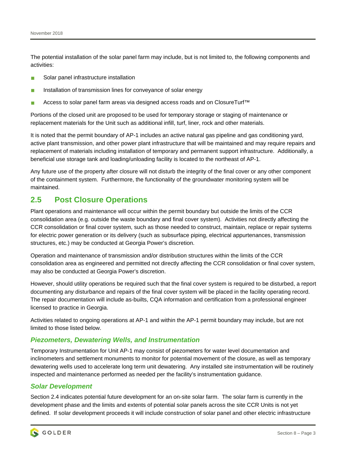The potential installation of the solar panel farm may include, but is not limited to, the following components and activities:

- Solar panel infrastructure installation
- Installation of transmission lines for conveyance of solar energy
- Access to solar panel farm areas via designed access roads and on ClosureTurf™

Portions of the closed unit are proposed to be used for temporary storage or staging of maintenance or replacement materials for the Unit such as additional infill, turf, liner, rock and other materials.

It is noted that the permit boundary of AP-1 includes an active natural gas pipeline and gas conditioning yard, active plant transmission, and other power plant infrastructure that will be maintained and may require repairs and replacement of materials including installation of temporary and permanent support infrastructure. Additionally, a beneficial use storage tank and loading/unloading facility is located to the northeast of AP-1.

Any future use of the property after closure will not disturb the integrity of the final cover or any other component of the containment system. Furthermore, the functionality of the groundwater monitoring system will be maintained.

## **2.5 Post Closure Operations**

Plant operations and maintenance will occur within the permit boundary but outside the limits of the CCR consolidation area (e.g. outside the waste boundary and final cover system). Activities not directly affecting the CCR consolidation or final cover system, such as those needed to construct, maintain, replace or repair systems for electric power generation or its delivery (such as subsurface piping, electrical appurtenances, transmission structures, etc.) may be conducted at Georgia Power's discretion.

Operation and maintenance of transmission and/or distribution structures within the limits of the CCR consolidation area as engineered and permitted not directly affecting the CCR consolidation or final cover system, may also be conducted at Georgia Power's discretion.

However, should utility operations be required such that the final cover system is required to be disturbed, a report documenting any disturbance and repairs of the final cover system will be placed in the facility operating record. The repair documentation will include as-builts, CQA information and certification from a professional engineer licensed to practice in Georgia.

Activities related to ongoing operations at AP-1 and within the AP-1 permit boundary may include, but are not limited to those listed below.

#### *Piezometers, Dewatering Wells, and Instrumentation*

Temporary Instrumentation for Unit AP-1 may consist of piezometers for water level documentation and inclinometers and settlement monuments to monitor for potential movement of the closure, as well as temporary dewatering wells used to accelerate long term unit dewatering. Any installed site instrumentation will be routinely inspected and maintenance performed as needed per the facility's instrumentation guidance.

#### *Solar Development*

Section 2.4 indicates potential future development for an on-site solar farm. The solar farm is currently in the development phase and the limits and extents of potential solar panels across the site CCR Units is not yet defined. If solar development proceeds it will include construction of solar panel and other electric infrastructure